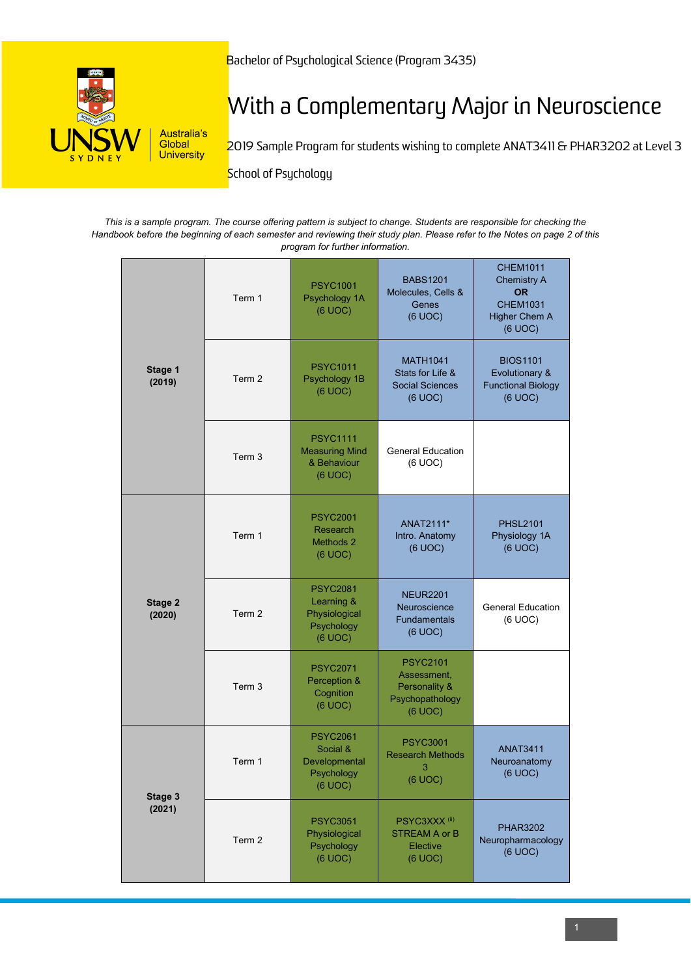

# With a Complementary Major in Neuroscience

2019 Sample Program for students wishing to complete ANAT3411 & PHAR3202 at Level 3

**School of Psychology** 

*This is a sample program. The course offering pattern is subject to change. Students are responsible for checking the Handbook before the beginning of each semester and reviewing their study plan. Please refer to the Notes on page 2 of this program for further information.*

| Stage 1<br>(2019) | Term 1            | <b>PSYC1001</b><br>Psychology 1A<br>(6 UOC)                             | <b>BABS1201</b><br>Molecules, Cells &<br>Genes<br>(6 UOC)                     | <b>CHEM1011</b><br><b>Chemistry A</b><br><b>OR</b><br><b>CHEM1031</b><br><b>Higher Chem A</b><br>(6 UOC) |
|-------------------|-------------------|-------------------------------------------------------------------------|-------------------------------------------------------------------------------|----------------------------------------------------------------------------------------------------------|
|                   | Term 2            | <b>PSYC1011</b><br>Psychology 1B<br>(6 UOC)                             | <b>MATH1041</b><br>Stats for Life &<br><b>Social Sciences</b><br>(6 UOC)      | <b>BIOS1101</b><br>Evolutionary &<br><b>Functional Biology</b><br>(6 UOC)                                |
|                   | Term 3            | <b>PSYC1111</b><br><b>Measuring Mind</b><br>& Behaviour<br>(6 UOC)      | <b>General Education</b><br>(6 UOC)                                           |                                                                                                          |
| Stage 2<br>(2020) | Term 1            | <b>PSYC2001</b><br>Research<br>Methods 2<br>(6 UOC)                     | ANAT2111*<br>Intro. Anatomy<br>(6 UOC)                                        | <b>PHSL2101</b><br>Physiology 1A<br>(6 UOC)                                                              |
|                   | Term 2            | <b>PSYC2081</b><br>Learning &<br>Physiological<br>Psychology<br>(6 UOC) | <b>NEUR2201</b><br>Neuroscience<br>Fundamentals<br>(6 UOC)                    | <b>General Education</b><br>(6 UOC)                                                                      |
|                   | Term <sub>3</sub> | <b>PSYC2071</b><br>Perception &<br>Cognition<br>(6 UOC)                 | <b>PSYC2101</b><br>Assessment,<br>Personality &<br>Psychopathology<br>(6 UOC) |                                                                                                          |
| Stage 3<br>(2021) | Term 1            | <b>PSYC2061</b><br>Social &<br>Developmental<br>Psychology<br>(6 UOC)   | <b>PSYC3001</b><br><b>Research Methods</b><br>3<br>(6 UOC)                    | <b>ANAT3411</b><br>Neuroanatomy<br>(6 UOC)                                                               |
|                   | Term 2            | <b>PSYC3051</b><br>Physiological<br>Psychology<br>(6 UOC)               | PSYC3XXX <sup>(ii)</sup><br><b>STREAM A or B</b><br>Elective<br>(6 UOC)       | <b>PHAR3202</b><br>Neuropharmacology<br>(6 UOC)                                                          |